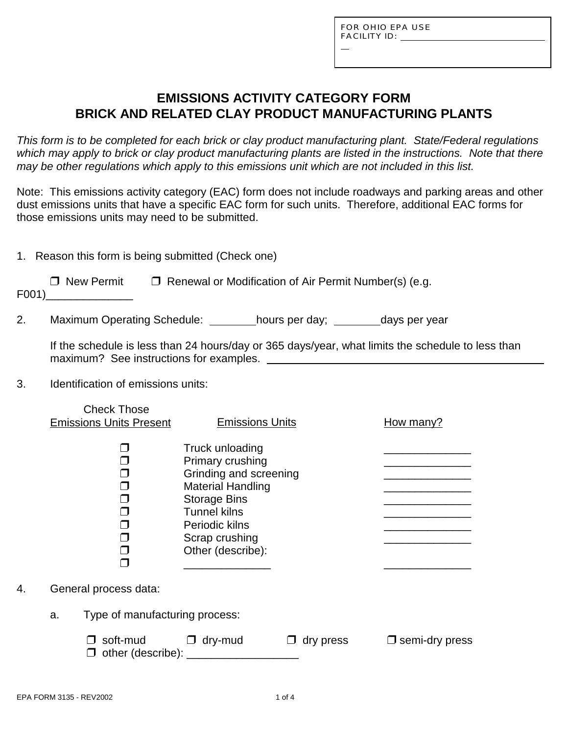L

# **EMISSIONS ACTIVITY CATEGORY FORM BRICK AND RELATED CLAY PRODUCT MANUFACTURING PLANTS**

*This form is to be completed for each brick or clay product manufacturing plant. State/Federal regulations which may apply to brick or clay product manufacturing plants are listed in the instructions. Note that there may be other regulations which apply to this emissions unit which are not included in this list.*

Note: This emissions activity category (EAC) form does not include roadways and parking areas and other dust emissions units that have a specific EAC form for such units. Therefore, additional EAC forms for those emissions units may need to be submitted.

1. Reason this form is being submitted (Check one)

 $\Box$  New Permit  $\Box$  Renewal or Modification of Air Permit Number(s) (e.g.

F001)\_\_\_\_\_\_\_\_\_\_\_\_\_\_

2. Maximum Operating Schedule: hours per day; days per year

If the schedule is less than 24 hours/day or 365 days/year, what limits the schedule to less than maximum? See instructions for examples.

3. Identification of emissions units:

|    |    | <b>Check Those</b><br><b>Emissions Units Present</b> | <b>Emissions Units</b>                                                                                                                                                                           |           | How many?                |
|----|----|------------------------------------------------------|--------------------------------------------------------------------------------------------------------------------------------------------------------------------------------------------------|-----------|--------------------------|
|    |    |                                                      | Truck unloading<br>Primary crushing<br>Grinding and screening<br><b>Material Handling</b><br><b>Storage Bins</b><br><b>Tunnel kilns</b><br>Periodic kilns<br>Scrap crushing<br>Other (describe): |           |                          |
| 4. |    | General process data:                                |                                                                                                                                                                                                  |           |                          |
|    | a. | Type of manufacturing process:                       |                                                                                                                                                                                                  |           |                          |
|    |    | soft-mud<br>other (describe):                        | $\Box$ dry-mud                                                                                                                                                                                   | dry press | $\square$ semi-dry press |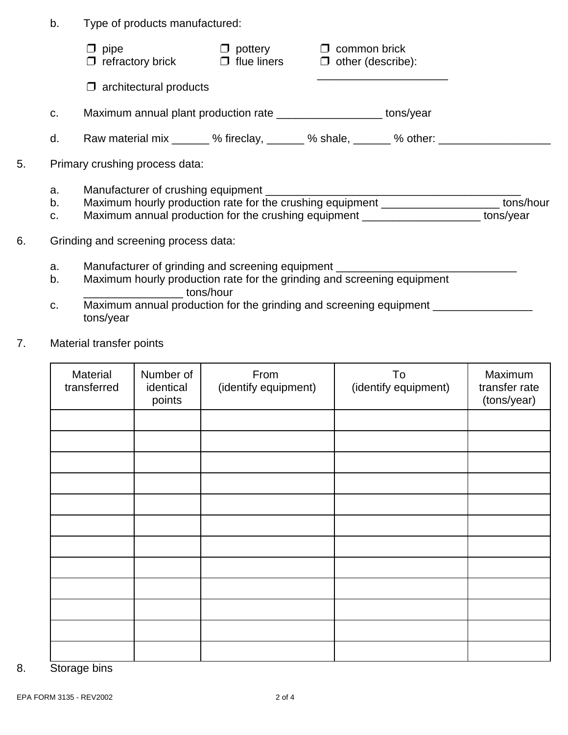b. Type of products manufactured:

|    |                                      | pipe<br>$\Box$ refractory brick                                                          | $\Box$ pottery<br>$\Box$ flue liners $\Box$ other (describe): | $\Box$ common brick |  |  |  |
|----|--------------------------------------|------------------------------------------------------------------------------------------|---------------------------------------------------------------|---------------------|--|--|--|
|    |                                      | $\Box$ architectural products                                                            |                                                               |                     |  |  |  |
|    | C.                                   | Maximum annual plant production rate ______________________ tons/year                    |                                                               |                     |  |  |  |
|    | d.                                   | Raw material mix ______ % fireclay, ______ % shale, _____ % other: ____________          |                                                               |                     |  |  |  |
| 5. |                                      | Primary crushing process data:                                                           |                                                               |                     |  |  |  |
|    | a.                                   |                                                                                          |                                                               |                     |  |  |  |
|    | b.                                   | Maximum hourly production rate for the crushing equipment _____________________tons/hour |                                                               |                     |  |  |  |
|    | C.                                   | Maximum annual production for the crushing equipment ______________________ tons/year    |                                                               |                     |  |  |  |
| 6. | Grinding and screening process data: |                                                                                          |                                                               |                     |  |  |  |
|    | a.                                   | Manufacturer of grinding and screening equipment _______________________________         |                                                               |                     |  |  |  |
|    | b.                                   | Maximum hourly production rate for the grinding and screening equipment<br>tons/hour     |                                                               |                     |  |  |  |
|    | c.                                   | Maximum annual production for the grinding and screening equipment _                     |                                                               |                     |  |  |  |

7. Material transfer points

tons/year

| Material<br>transferred | Number of<br>identical<br>points | From<br>(identify equipment) | To<br>(identify equipment) | Maximum<br>transfer rate<br>(tons/year) |
|-------------------------|----------------------------------|------------------------------|----------------------------|-----------------------------------------|
|                         |                                  |                              |                            |                                         |
|                         |                                  |                              |                            |                                         |
|                         |                                  |                              |                            |                                         |
|                         |                                  |                              |                            |                                         |
|                         |                                  |                              |                            |                                         |
|                         |                                  |                              |                            |                                         |
|                         |                                  |                              |                            |                                         |
|                         |                                  |                              |                            |                                         |
|                         |                                  |                              |                            |                                         |
|                         |                                  |                              |                            |                                         |
|                         |                                  |                              |                            |                                         |
|                         |                                  |                              |                            |                                         |

8. Storage bins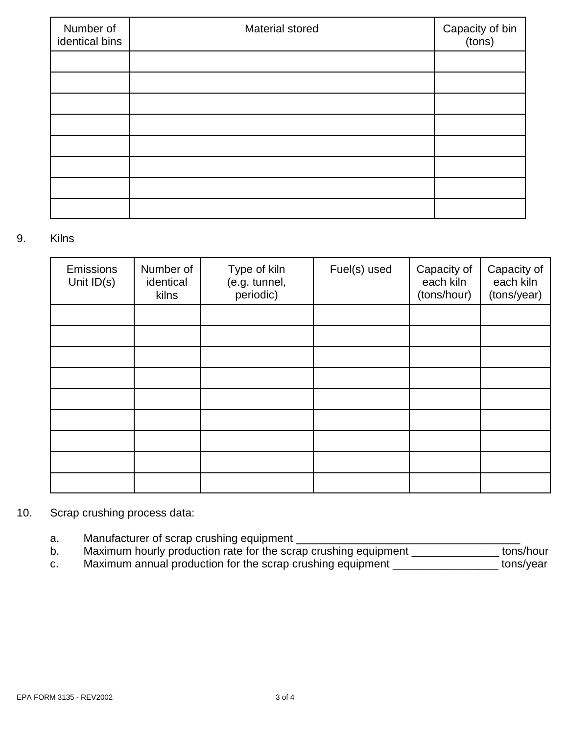| Number of<br>identical bins | Material stored | Capacity of bin<br>(tons) |
|-----------------------------|-----------------|---------------------------|
|                             |                 |                           |
|                             |                 |                           |
|                             |                 |                           |
|                             |                 |                           |
|                             |                 |                           |
|                             |                 |                           |
|                             |                 |                           |
|                             |                 |                           |

#### 9. Kilns

| Emissions<br>Unit $ID(s)$ | Number of<br>identical<br>kilns | Type of kiln<br>(e.g. tunnel,<br>periodic) | Fuel(s) used | Capacity of<br>each kiln<br>(tons/hour) | Capacity of<br>each kiln<br>(tons/year) |
|---------------------------|---------------------------------|--------------------------------------------|--------------|-----------------------------------------|-----------------------------------------|
|                           |                                 |                                            |              |                                         |                                         |
|                           |                                 |                                            |              |                                         |                                         |
|                           |                                 |                                            |              |                                         |                                         |
|                           |                                 |                                            |              |                                         |                                         |
|                           |                                 |                                            |              |                                         |                                         |
|                           |                                 |                                            |              |                                         |                                         |
|                           |                                 |                                            |              |                                         |                                         |
|                           |                                 |                                            |              |                                         |                                         |
|                           |                                 |                                            |              |                                         |                                         |

## 10. Scrap crushing process data:

- a. Manufacturer of scrap crushing equipment \_\_\_\_\_\_\_\_\_\_\_\_\_\_\_\_\_\_\_\_\_\_\_\_\_\_\_\_\_\_\_\_\_\_\_\_
- b. Maximum hourly production rate for the scrap crushing equipment \_\_\_\_\_\_\_\_\_\_\_\_\_\_ tons/hour
- c. Maximum annual production for the scrap crushing equipment \_\_\_\_\_\_\_\_\_\_\_\_\_\_\_\_\_\_\_ tons/year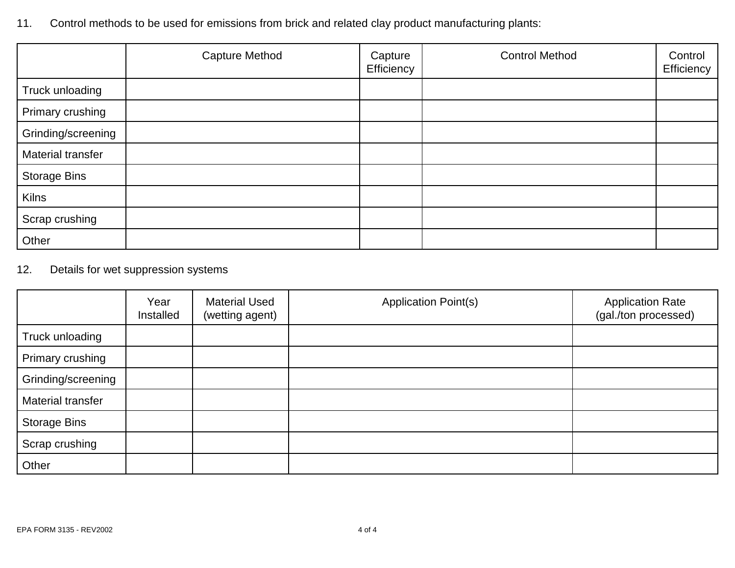11. Control methods to be used for emissions from brick and related clay product manufacturing plants:

|                     | <b>Capture Method</b> | Capture<br>Efficiency | <b>Control Method</b> | Control<br>Efficiency |
|---------------------|-----------------------|-----------------------|-----------------------|-----------------------|
| Truck unloading     |                       |                       |                       |                       |
| Primary crushing    |                       |                       |                       |                       |
| Grinding/screening  |                       |                       |                       |                       |
| Material transfer   |                       |                       |                       |                       |
| <b>Storage Bins</b> |                       |                       |                       |                       |
| <b>Kilns</b>        |                       |                       |                       |                       |
| Scrap crushing      |                       |                       |                       |                       |
| Other               |                       |                       |                       |                       |

## 12. Details for wet suppression systems

|                     | Year<br>Installed | <b>Material Used</b><br>(wetting agent) | <b>Application Point(s)</b> | <b>Application Rate</b><br>(gal./ton processed) |
|---------------------|-------------------|-----------------------------------------|-----------------------------|-------------------------------------------------|
| Truck unloading     |                   |                                         |                             |                                                 |
| Primary crushing    |                   |                                         |                             |                                                 |
| Grinding/screening  |                   |                                         |                             |                                                 |
| Material transfer   |                   |                                         |                             |                                                 |
| <b>Storage Bins</b> |                   |                                         |                             |                                                 |
| Scrap crushing      |                   |                                         |                             |                                                 |
| Other               |                   |                                         |                             |                                                 |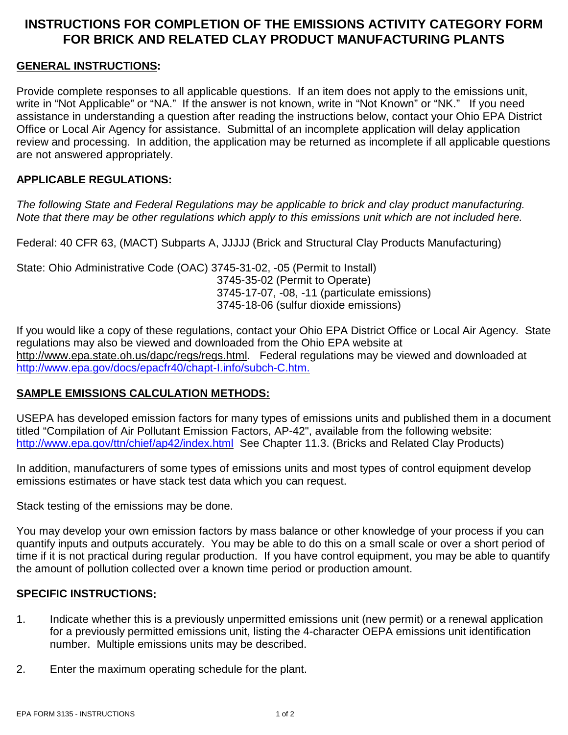## **INSTRUCTIONS FOR COMPLETION OF THE EMISSIONS ACTIVITY CATEGORY FORM FOR BRICK AND RELATED CLAY PRODUCT MANUFACTURING PLANTS**

### **GENERAL INSTRUCTIONS:**

Provide complete responses to all applicable questions. If an item does not apply to the emissions unit, write in "Not Applicable" or "NA." If the answer is not known, write in "Not Known" or "NK." If you need assistance in understanding a question after reading the instructions below, contact your Ohio EPA District Office or Local Air Agency for assistance. Submittal of an incomplete application will delay application review and processing. In addition, the application may be returned as incomplete if all applicable questions are not answered appropriately.

#### **APPLICABLE REGULATIONS:**

*The following State and Federal Regulations may be applicable to brick and clay product manufacturing. Note that there may be other regulations which apply to this emissions unit which are not included here.*

Federal: 40 CFR 63, (MACT) Subparts A, JJJJJ (Brick and Structural Clay Products Manufacturing)

State: Ohio Administrative Code (OAC) 3745-31-02, -05 (Permit to Install) 3745-35-02 (Permit to Operate) 3745-17-07, -08, -11 (particulate emissions) 3745-18-06 (sulfur dioxide emissions)

If you would like a copy of these regulations, contact your Ohio EPA District Office or Local Air Agency. State regulations may also be viewed and downloaded from the Ohio EPA website at http://www.epa.state.oh.us/dapc/regs/regs.html. Federal regulations may be viewed and downloaded at http://www.epa.gov/docs/epacfr40/chapt-I.info/subch-C.htm.

### **SAMPLE EMISSIONS CALCULATION METHODS:**

USEPA has developed emission factors for many types of emissions units and published them in a document titled "Compilation of Air Pollutant Emission Factors, AP-42", available from the following website: http://www.epa.gov/ttn/chief/ap42/index.html See Chapter 11.3. (Bricks and Related Clay Products)

In addition, manufacturers of some types of emissions units and most types of control equipment develop emissions estimates or have stack test data which you can request.

Stack testing of the emissions may be done.

You may develop your own emission factors by mass balance or other knowledge of your process if you can quantify inputs and outputs accurately. You may be able to do this on a small scale or over a short period of time if it is not practical during regular production. If you have control equipment, you may be able to quantify the amount of pollution collected over a known time period or production amount.

### **SPECIFIC INSTRUCTIONS:**

- 1. Indicate whether this is a previously unpermitted emissions unit (new permit) or a renewal application for a previously permitted emissions unit, listing the 4-character OEPA emissions unit identification number. Multiple emissions units may be described.
- 2. Enter the maximum operating schedule for the plant.